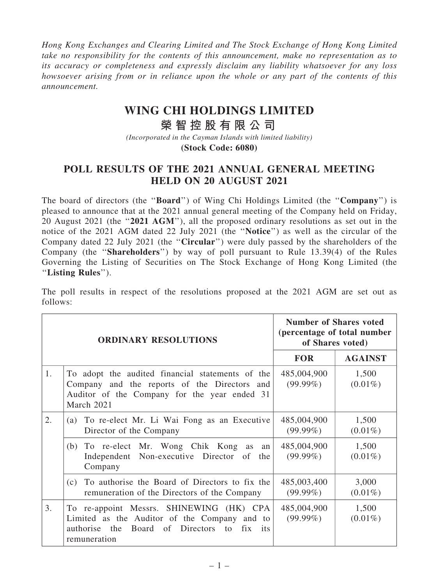*Hong Kong Exchanges and Clearing Limited and The Stock Exchange of Hong Kong Limited take no responsibility for the contents of this announcement, make no representation as to its accuracy or completeness and expressly disclaim any liability whatsoever for any loss howsoever arising from or in reliance upon the whole or any part of the contents of this announcement.*

## **WING CHI HOLDINGS LIMITED**

## **榮 智 控 股 有 限 公 司**

*(Incorporated in the Cayman Islands with limited liability)* **(Stock Code: 6080)**

## POLL RESULTS OF THE 2021 ANNUAL GENERAL MEETING HELD ON 20 AUGUST 2021

The board of directors (the "**Board**") of Wing Chi Holdings Limited (the "Company") is pleased to announce that at the 2021 annual general meeting of the Company held on Friday, 20 August 2021 (the ''2021 AGM''), all the proposed ordinary resolutions as set out in the notice of the 2021 AGM dated 22 July 2021 (the ''Notice'') as well as the circular of the Company dated 22 July 2021 (the ''Circular'') were duly passed by the shareholders of the Company (the ''Shareholders'') by way of poll pursuant to Rule 13.39(4) of the Rules Governing the Listing of Securities on The Stock Exchange of Hong Kong Limited (the ''Listing Rules'').

The poll results in respect of the resolutions proposed at the 2021 AGM are set out as follows:

| <b>ORDINARY RESOLUTIONS</b> |                                                                                                                                                                | <b>Number of Shares voted</b><br>(percentage of total number<br>of Shares voted) |                     |
|-----------------------------|----------------------------------------------------------------------------------------------------------------------------------------------------------------|----------------------------------------------------------------------------------|---------------------|
|                             |                                                                                                                                                                | <b>FOR</b>                                                                       | <b>AGAINST</b>      |
| 1.                          | To adopt the audited financial statements of the<br>Company and the reports of the Directors and<br>Auditor of the Company for the year ended 31<br>March 2021 | 485,004,900<br>$(99.99\%)$                                                       | 1,500<br>$(0.01\%)$ |
| 2.                          | To re-elect Mr. Li Wai Fong as an Executive<br>(a)<br>Director of the Company                                                                                  | 485,004,900<br>$(99.99\%)$                                                       | 1,500<br>$(0.01\%)$ |
|                             | (b) To re-elect Mr. Wong Chik Kong as<br>an<br>Independent Non-executive Director of the<br>Company                                                            | 485,004,900<br>$(99.99\%)$                                                       | 1,500<br>$(0.01\%)$ |
|                             | To authorise the Board of Directors to fix the<br>(c)<br>remuneration of the Directors of the Company                                                          | 485,003,400<br>$(99.99\%)$                                                       | 3,000<br>$(0.01\%)$ |
| 3.                          | To re-appoint Messrs. SHINEWING (HK) CPA<br>Limited as the Auditor of the Company and to<br>authorise the Board of Directors to fix its<br>remuneration        | 485,004,900<br>$(99.99\%)$                                                       | 1,500<br>$(0.01\%)$ |